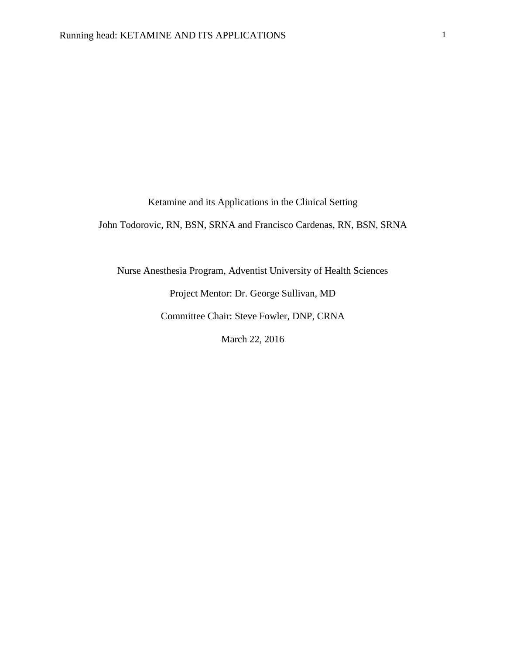Ketamine and its Applications in the Clinical Setting

John Todorovic, RN, BSN, SRNA and Francisco Cardenas, RN, BSN, SRNA

Nurse Anesthesia Program, Adventist University of Health Sciences

Project Mentor: Dr. George Sullivan, MD

Committee Chair: Steve Fowler, DNP, CRNA

March 22, 2016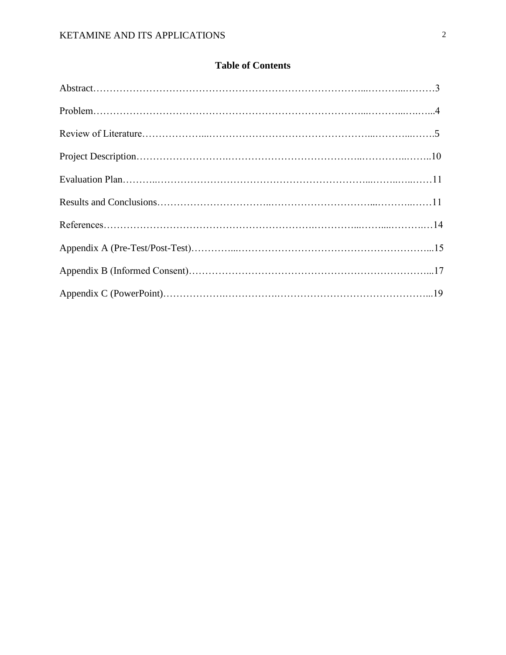# **Table of Contents**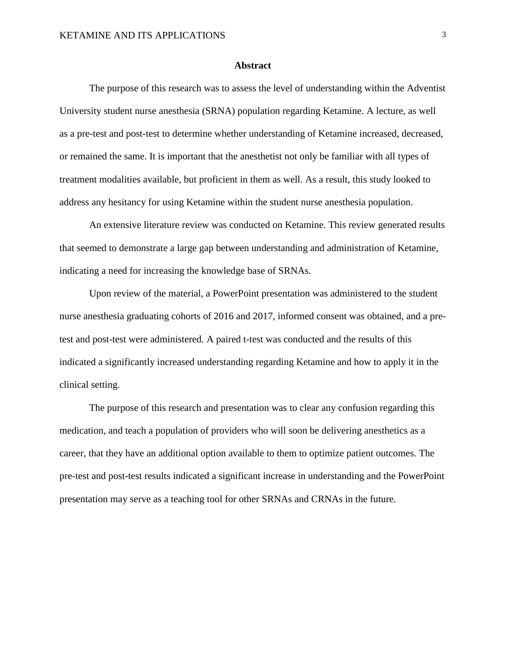#### **Abstract**

The purpose of this research was to assess the level of understanding within the Adventist University student nurse anesthesia (SRNA) population regarding Ketamine. A lecture, as well as a pre-test and post-test to determine whether understanding of Ketamine increased, decreased, or remained the same. It is important that the anesthetist not only be familiar with all types of treatment modalities available, but proficient in them as well. As a result, this study looked to address any hesitancy for using Ketamine within the student nurse anesthesia population.

An extensive literature review was conducted on Ketamine. This review generated results that seemed to demonstrate a large gap between understanding and administration of Ketamine, indicating a need for increasing the knowledge base of SRNAs.

Upon review of the material, a PowerPoint presentation was administered to the student nurse anesthesia graduating cohorts of 2016 and 2017, informed consent was obtained, and a pretest and post-test were administered. A paired t-test was conducted and the results of this indicated a significantly increased understanding regarding Ketamine and how to apply it in the clinical setting.

The purpose of this research and presentation was to clear any confusion regarding this medication, and teach a population of providers who will soon be delivering anesthetics as a career, that they have an additional option available to them to optimize patient outcomes. The pre-test and post-test results indicated a significant increase in understanding and the PowerPoint presentation may serve as a teaching tool for other SRNAs and CRNAs in the future.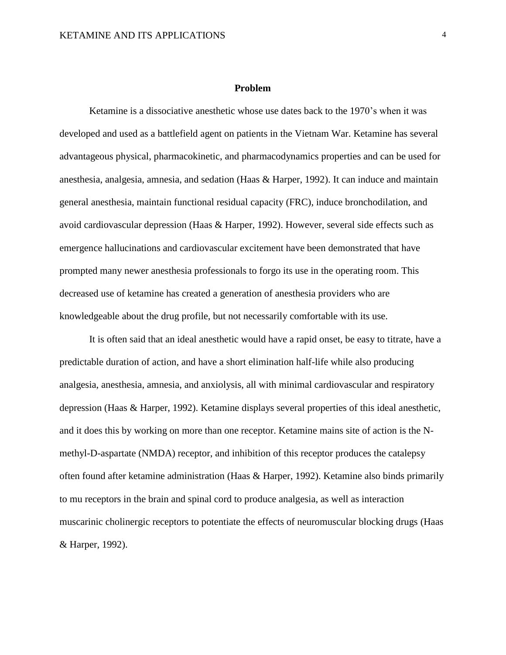#### **Problem**

Ketamine is a dissociative anesthetic whose use dates back to the 1970's when it was developed and used as a battlefield agent on patients in the Vietnam War. Ketamine has several advantageous physical, pharmacokinetic, and pharmacodynamics properties and can be used for anesthesia, analgesia, amnesia, and sedation (Haas & Harper, 1992). It can induce and maintain general anesthesia, maintain functional residual capacity (FRC), induce bronchodilation, and avoid cardiovascular depression (Haas & Harper, 1992). However, several side effects such as emergence hallucinations and cardiovascular excitement have been demonstrated that have prompted many newer anesthesia professionals to forgo its use in the operating room. This decreased use of ketamine has created a generation of anesthesia providers who are knowledgeable about the drug profile, but not necessarily comfortable with its use.

It is often said that an ideal anesthetic would have a rapid onset, be easy to titrate, have a predictable duration of action, and have a short elimination half-life while also producing analgesia, anesthesia, amnesia, and anxiolysis, all with minimal cardiovascular and respiratory depression (Haas & Harper, 1992). Ketamine displays several properties of this ideal anesthetic, and it does this by working on more than one receptor. Ketamine mains site of action is the Nmethyl-D-aspartate (NMDA) receptor, and inhibition of this receptor produces the catalepsy often found after ketamine administration (Haas & Harper, 1992). Ketamine also binds primarily to mu receptors in the brain and spinal cord to produce analgesia, as well as interaction muscarinic cholinergic receptors to potentiate the effects of neuromuscular blocking drugs (Haas & Harper, 1992).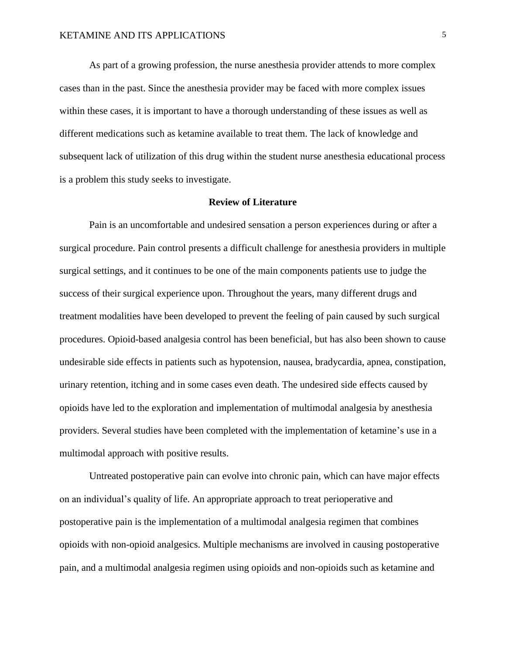As part of a growing profession, the nurse anesthesia provider attends to more complex cases than in the past. Since the anesthesia provider may be faced with more complex issues within these cases, it is important to have a thorough understanding of these issues as well as different medications such as ketamine available to treat them. The lack of knowledge and subsequent lack of utilization of this drug within the student nurse anesthesia educational process is a problem this study seeks to investigate.

#### **Review of Literature**

Pain is an uncomfortable and undesired sensation a person experiences during or after a surgical procedure. Pain control presents a difficult challenge for anesthesia providers in multiple surgical settings, and it continues to be one of the main components patients use to judge the success of their surgical experience upon. Throughout the years, many different drugs and treatment modalities have been developed to prevent the feeling of pain caused by such surgical procedures. Opioid-based analgesia control has been beneficial, but has also been shown to cause undesirable side effects in patients such as hypotension, nausea, bradycardia, apnea, constipation, urinary retention, itching and in some cases even death. The undesired side effects caused by opioids have led to the exploration and implementation of multimodal analgesia by anesthesia providers. Several studies have been completed with the implementation of ketamine's use in a multimodal approach with positive results.

Untreated postoperative pain can evolve into chronic pain, which can have major effects on an individual's quality of life. An appropriate approach to treat perioperative and postoperative pain is the implementation of a multimodal analgesia regimen that combines opioids with non-opioid analgesics. Multiple mechanisms are involved in causing postoperative pain, and a multimodal analgesia regimen using opioids and non-opioids such as ketamine and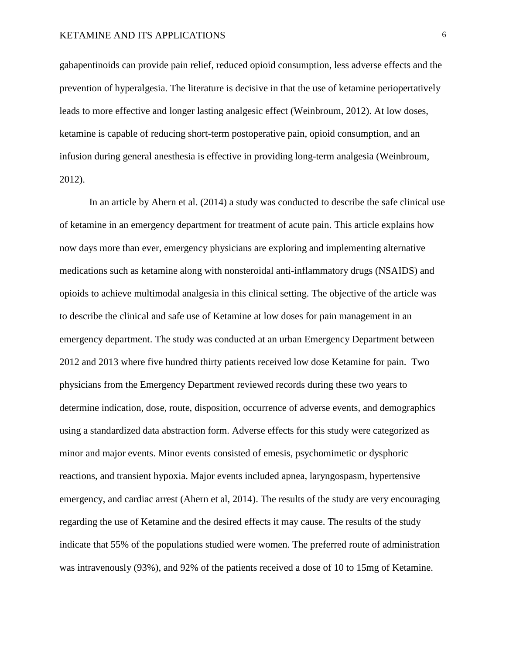gabapentinoids can provide pain relief, reduced opioid consumption, less adverse effects and the prevention of hyperalgesia. The literature is decisive in that the use of ketamine periopertatively leads to more effective and longer lasting analgesic effect (Weinbroum, 2012). At low doses, ketamine is capable of reducing short-term postoperative pain, opioid consumption, and an infusion during general anesthesia is effective in providing long-term analgesia (Weinbroum, 2012).

In an article by Ahern et al. (2014) a study was conducted to describe the safe clinical use of ketamine in an emergency department for treatment of acute pain. This article explains how now days more than ever, emergency physicians are exploring and implementing alternative medications such as ketamine along with nonsteroidal anti-inflammatory drugs (NSAIDS) and opioids to achieve multimodal analgesia in this clinical setting. The objective of the article was to describe the clinical and safe use of Ketamine at low doses for pain management in an emergency department. The study was conducted at an urban Emergency Department between 2012 and 2013 where five hundred thirty patients received low dose Ketamine for pain. Two physicians from the Emergency Department reviewed records during these two years to determine indication, dose, route, disposition, occurrence of adverse events, and demographics using a standardized data abstraction form. Adverse effects for this study were categorized as minor and major events. Minor events consisted of emesis, psychomimetic or dysphoric reactions, and transient hypoxia. Major events included apnea, laryngospasm, hypertensive emergency, and cardiac arrest (Ahern et al, 2014). The results of the study are very encouraging regarding the use of Ketamine and the desired effects it may cause. The results of the study indicate that 55% of the populations studied were women. The preferred route of administration was intravenously (93%), and 92% of the patients received a dose of 10 to 15mg of Ketamine.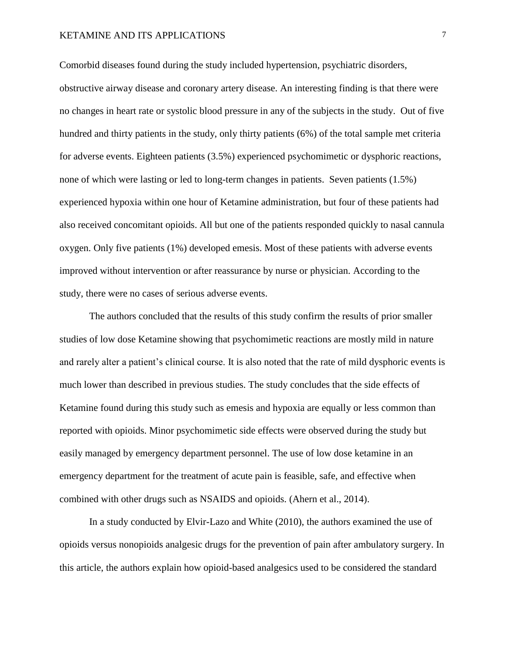Comorbid diseases found during the study included hypertension, psychiatric disorders, obstructive airway disease and coronary artery disease. An interesting finding is that there were no changes in heart rate or systolic blood pressure in any of the subjects in the study. Out of five hundred and thirty patients in the study, only thirty patients (6%) of the total sample met criteria for adverse events. Eighteen patients (3.5%) experienced psychomimetic or dysphoric reactions, none of which were lasting or led to long-term changes in patients. Seven patients (1.5%) experienced hypoxia within one hour of Ketamine administration, but four of these patients had also received concomitant opioids. All but one of the patients responded quickly to nasal cannula oxygen. Only five patients (1%) developed emesis. Most of these patients with adverse events improved without intervention or after reassurance by nurse or physician. According to the study, there were no cases of serious adverse events.

The authors concluded that the results of this study confirm the results of prior smaller studies of low dose Ketamine showing that psychomimetic reactions are mostly mild in nature and rarely alter a patient's clinical course. It is also noted that the rate of mild dysphoric events is much lower than described in previous studies. The study concludes that the side effects of Ketamine found during this study such as emesis and hypoxia are equally or less common than reported with opioids. Minor psychomimetic side effects were observed during the study but easily managed by emergency department personnel. The use of low dose ketamine in an emergency department for the treatment of acute pain is feasible, safe, and effective when combined with other drugs such as NSAIDS and opioids. (Ahern et al., 2014).

In a study conducted by Elvir-Lazo and White (2010), the authors examined the use of opioids versus nonopioids analgesic drugs for the prevention of pain after ambulatory surgery. In this article, the authors explain how opioid-based analgesics used to be considered the standard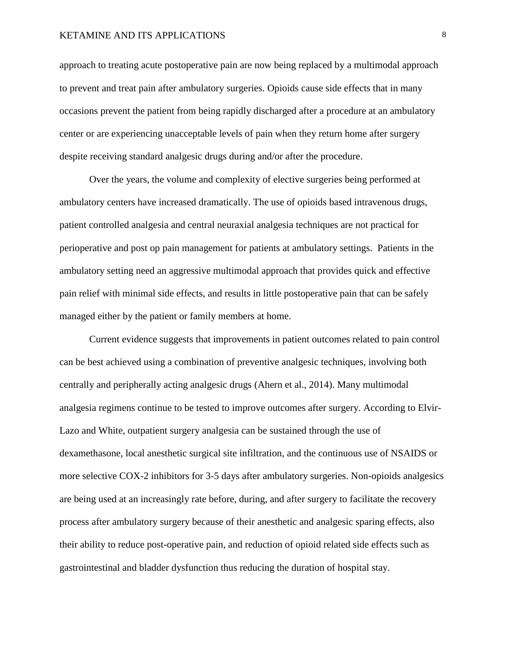approach to treating acute postoperative pain are now being replaced by a multimodal approach to prevent and treat pain after ambulatory surgeries. Opioids cause side effects that in many occasions prevent the patient from being rapidly discharged after a procedure at an ambulatory center or are experiencing unacceptable levels of pain when they return home after surgery despite receiving standard analgesic drugs during and/or after the procedure.

Over the years, the volume and complexity of elective surgeries being performed at ambulatory centers have increased dramatically. The use of opioids based intravenous drugs, patient controlled analgesia and central neuraxial analgesia techniques are not practical for perioperative and post op pain management for patients at ambulatory settings. Patients in the ambulatory setting need an aggressive multimodal approach that provides quick and effective pain relief with minimal side effects, and results in little postoperative pain that can be safely managed either by the patient or family members at home.

Current evidence suggests that improvements in patient outcomes related to pain control can be best achieved using a combination of preventive analgesic techniques, involving both centrally and peripherally acting analgesic drugs (Ahern et al., 2014). Many multimodal analgesia regimens continue to be tested to improve outcomes after surgery. According to Elvir-Lazo and White, outpatient surgery analgesia can be sustained through the use of dexamethasone, local anesthetic surgical site infiltration, and the continuous use of NSAIDS or more selective COX-2 inhibitors for 3-5 days after ambulatory surgeries. Non-opioids analgesics are being used at an increasingly rate before, during, and after surgery to facilitate the recovery process after ambulatory surgery because of their anesthetic and analgesic sparing effects, also their ability to reduce post-operative pain, and reduction of opioid related side effects such as gastrointestinal and bladder dysfunction thus reducing the duration of hospital stay.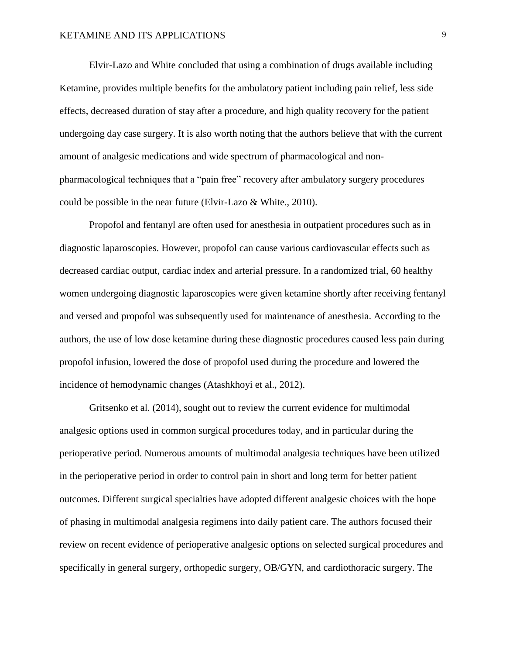Elvir-Lazo and White concluded that using a combination of drugs available including Ketamine, provides multiple benefits for the ambulatory patient including pain relief, less side effects, decreased duration of stay after a procedure, and high quality recovery for the patient undergoing day case surgery. It is also worth noting that the authors believe that with the current amount of analgesic medications and wide spectrum of pharmacological and nonpharmacological techniques that a "pain free" recovery after ambulatory surgery procedures could be possible in the near future (Elvir-Lazo & White., 2010).

Propofol and fentanyl are often used for anesthesia in outpatient procedures such as in diagnostic laparoscopies. However, propofol can cause various cardiovascular effects such as decreased cardiac output, cardiac index and arterial pressure. In a randomized trial, 60 healthy women undergoing diagnostic laparoscopies were given ketamine shortly after receiving fentanyl and versed and propofol was subsequently used for maintenance of anesthesia. According to the authors, the use of low dose ketamine during these diagnostic procedures caused less pain during propofol infusion, lowered the dose of propofol used during the procedure and lowered the incidence of hemodynamic changes (Atashkhoyi et al., 2012).

Gritsenko et al. (2014), sought out to review the current evidence for multimodal analgesic options used in common surgical procedures today, and in particular during the perioperative period. Numerous amounts of multimodal analgesia techniques have been utilized in the perioperative period in order to control pain in short and long term for better patient outcomes. Different surgical specialties have adopted different analgesic choices with the hope of phasing in multimodal analgesia regimens into daily patient care. The authors focused their review on recent evidence of perioperative analgesic options on selected surgical procedures and specifically in general surgery, orthopedic surgery, OB/GYN, and cardiothoracic surgery. The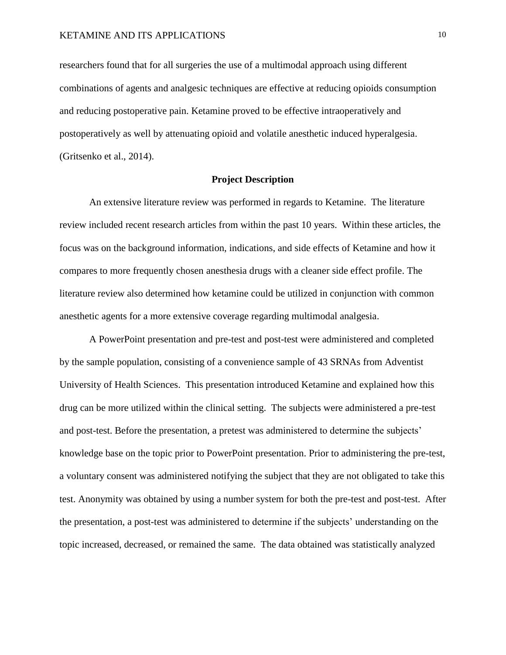researchers found that for all surgeries the use of a multimodal approach using different combinations of agents and analgesic techniques are effective at reducing opioids consumption and reducing postoperative pain. Ketamine proved to be effective intraoperatively and postoperatively as well by attenuating opioid and volatile anesthetic induced hyperalgesia. (Gritsenko et al., 2014).

#### **Project Description**

An extensive literature review was performed in regards to Ketamine. The literature review included recent research articles from within the past 10 years. Within these articles, the focus was on the background information, indications, and side effects of Ketamine and how it compares to more frequently chosen anesthesia drugs with a cleaner side effect profile. The literature review also determined how ketamine could be utilized in conjunction with common anesthetic agents for a more extensive coverage regarding multimodal analgesia.

A PowerPoint presentation and pre-test and post-test were administered and completed by the sample population, consisting of a convenience sample of 43 SRNAs from Adventist University of Health Sciences. This presentation introduced Ketamine and explained how this drug can be more utilized within the clinical setting. The subjects were administered a pre-test and post-test. Before the presentation, a pretest was administered to determine the subjects' knowledge base on the topic prior to PowerPoint presentation. Prior to administering the pre-test, a voluntary consent was administered notifying the subject that they are not obligated to take this test. Anonymity was obtained by using a number system for both the pre-test and post-test. After the presentation, a post-test was administered to determine if the subjects' understanding on the topic increased, decreased, or remained the same. The data obtained was statistically analyzed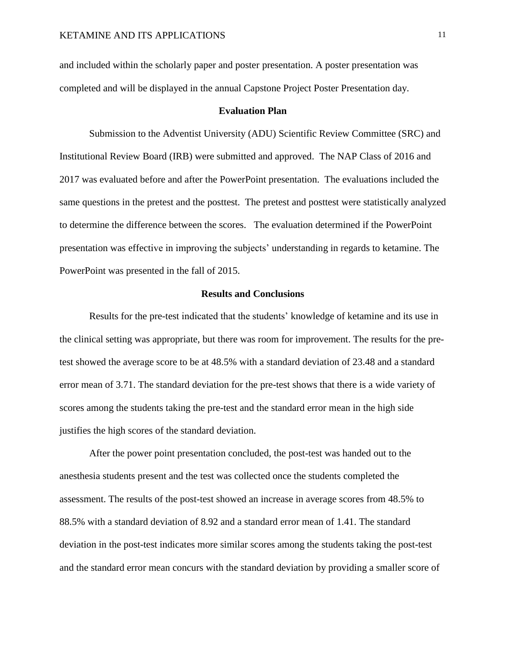and included within the scholarly paper and poster presentation. A poster presentation was completed and will be displayed in the annual Capstone Project Poster Presentation day.

## **Evaluation Plan**

Submission to the Adventist University (ADU) Scientific Review Committee (SRC) and Institutional Review Board (IRB) were submitted and approved. The NAP Class of 2016 and 2017 was evaluated before and after the PowerPoint presentation. The evaluations included the same questions in the pretest and the posttest. The pretest and posttest were statistically analyzed to determine the difference between the scores. The evaluation determined if the PowerPoint presentation was effective in improving the subjects' understanding in regards to ketamine. The PowerPoint was presented in the fall of 2015.

#### **Results and Conclusions**

Results for the pre-test indicated that the students' knowledge of ketamine and its use in the clinical setting was appropriate, but there was room for improvement. The results for the pretest showed the average score to be at 48.5% with a standard deviation of 23.48 and a standard error mean of 3.71. The standard deviation for the pre-test shows that there is a wide variety of scores among the students taking the pre-test and the standard error mean in the high side justifies the high scores of the standard deviation.

After the power point presentation concluded, the post-test was handed out to the anesthesia students present and the test was collected once the students completed the assessment. The results of the post-test showed an increase in average scores from 48.5% to 88.5% with a standard deviation of 8.92 and a standard error mean of 1.41. The standard deviation in the post-test indicates more similar scores among the students taking the post-test and the standard error mean concurs with the standard deviation by providing a smaller score of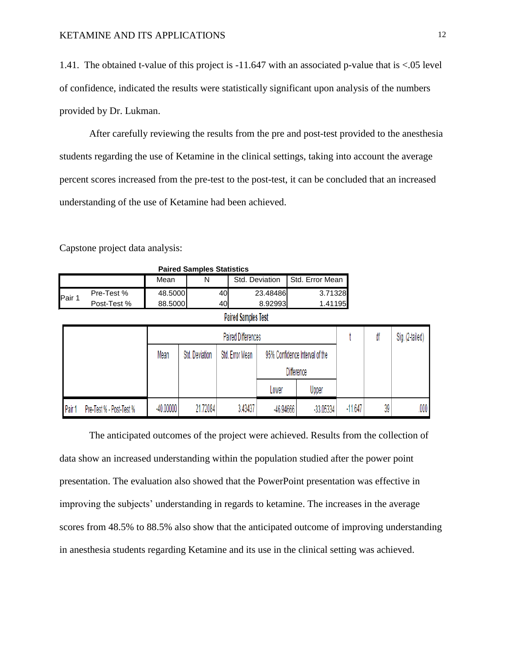1.41. The obtained t-value of this project is -11.647 with an associated p-value that is <.05 level of confidence, indicated the results were statistically significant upon analysis of the numbers provided by Dr. Lukman.

After carefully reviewing the results from the pre and post-test provided to the anesthesia students regarding the use of Ketamine in the clinical settings, taking into account the average percent scores increased from the pre-test to the post-test, it can be concluded that an increased understanding of the use of Ketamine had been achieved.

Capstone project data analysis:

| Std. Deviation<br>Mean                            |                   |
|---------------------------------------------------|-------------------|
|                                                   | I Std. Error Mean |
| 40<br>23.48486<br>48.5000<br>Pre-Test %<br>Pair 1 | 3.71328           |
| 40<br>8.92993<br>Post-Test %<br>88.5000           | 1.41195           |

|                   |                          | <b>Paired Differences</b> |                |                 |                                |             | df        | Sig. (2-tailed) |     |
|-------------------|--------------------------|---------------------------|----------------|-----------------|--------------------------------|-------------|-----------|-----------------|-----|
|                   |                          | Mean                      | Std. Deviation | Std. Error Mean | 95% Confidence Interval of the |             |           |                 |     |
|                   |                          |                           |                |                 | Difference                     |             |           |                 |     |
|                   |                          |                           |                |                 | Lower                          | Upper       |           |                 |     |
| Pair <sup>1</sup> | Pre-Test % - Post-Test % | $-40.00000$               | 21.72084       | 3.43437         | $-46.94666$                    | $-33.05334$ | $-11.647$ | 39              | 000 |

**Paired Samples Test** 

The anticipated outcomes of the project were achieved. Results from the collection of data show an increased understanding within the population studied after the power point presentation. The evaluation also showed that the PowerPoint presentation was effective in improving the subjects' understanding in regards to ketamine. The increases in the average scores from 48.5% to 88.5% also show that the anticipated outcome of improving understanding in anesthesia students regarding Ketamine and its use in the clinical setting was achieved.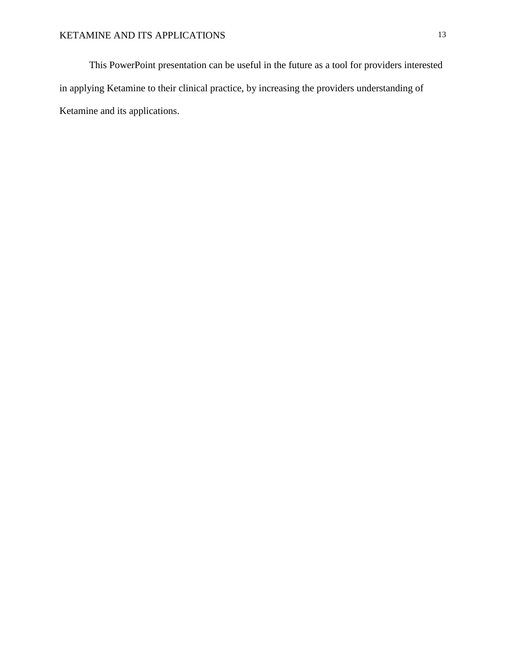This PowerPoint presentation can be useful in the future as a tool for providers interested in applying Ketamine to their clinical practice, by increasing the providers understanding of Ketamine and its applications.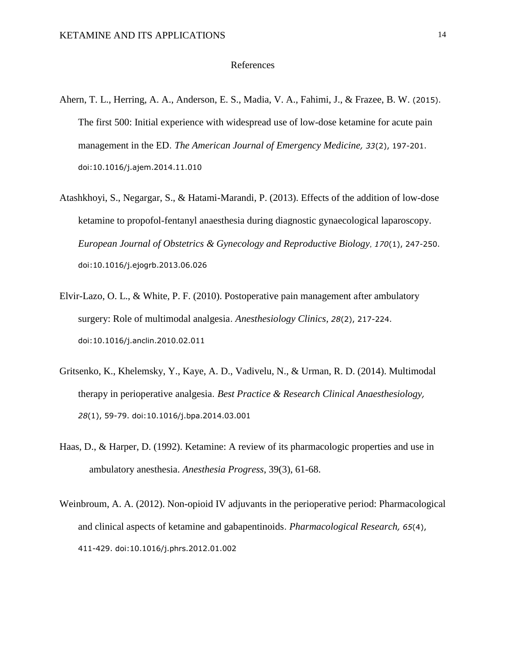### References

- Ahern, T. L., Herring, A. A., Anderson, E. S., Madia, V. A., Fahimi, J., & Frazee, B. W. (2015). The first 500: Initial experience with widespread use of low-dose ketamine for acute pain management in the ED. *The American Journal of Emergency Medicine, 33*(2), 197-201. doi:10.1016/j.ajem.2014.11.010
- Atashkhoyi, S., Negargar, S., & Hatami-Marandi, P. (2013). Effects of the addition of low-dose ketamine to propofol-fentanyl anaesthesia during diagnostic gynaecological laparoscopy. *European Journal of Obstetrics & Gynecology and Reproductive Biology, 170*(1), 247-250. doi:10.1016/j.ejogrb.2013.06.026
- Elvir-Lazo, O. L., & White, P. F. (2010). Postoperative pain management after ambulatory surgery: Role of multimodal analgesia. *Anesthesiology Clinics, 28*(2), 217-224. doi:10.1016/j.anclin.2010.02.011
- Gritsenko, K., Khelemsky, Y., Kaye, A. D., Vadivelu, N., & Urman, R. D. (2014). Multimodal therapy in perioperative analgesia. *Best Practice & Research Clinical Anaesthesiology, 28*(1), 59-79. doi[:10.1016/j.bpa.2014.03.001](http://dx.doi.org.resource.adu.edu/10.1016/j.bpa.2014.03.001)
- Haas, D., & Harper, D. (1992). Ketamine: A review of its pharmacologic properties and use in ambulatory anesthesia. *Anesthesia Progress*, 39(3), 61-68.

Weinbroum, A. A. (2012). Non-opioid IV adjuvants in the perioperative period: Pharmacological and clinical aspects of ketamine and gabapentinoids. *Pharmacological Research, 65*(4), 411-429. doi[:10.1016/j.phrs.2012.01.002](http://dx.doi.org.resource.adu.edu/10.1016/j.phrs.2012.01.002)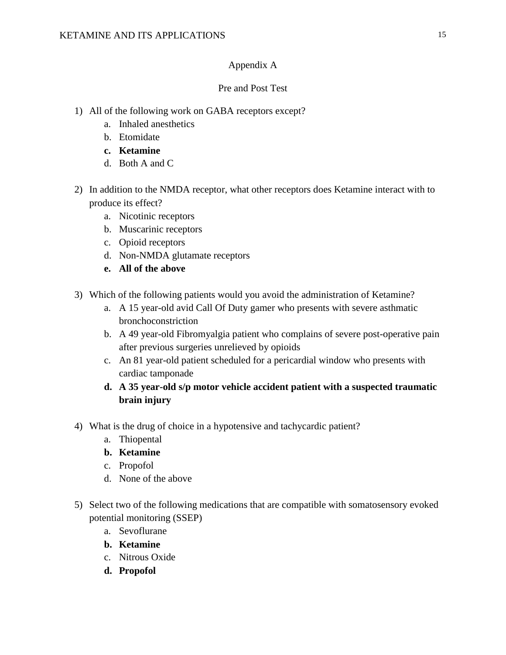# Appendix A

# Pre and Post Test

- 1) All of the following work on GABA receptors except?
	- a. Inhaled anesthetics
	- b. Etomidate
	- **c. Ketamine**
	- d. Both A and C
- 2) In addition to the NMDA receptor, what other receptors does Ketamine interact with to produce its effect?
	- a. Nicotinic receptors
	- b. Muscarinic receptors
	- c. Opioid receptors
	- d. Non-NMDA glutamate receptors
	- **e. All of the above**
- 3) Which of the following patients would you avoid the administration of Ketamine?
	- a. A 15 year-old avid Call Of Duty gamer who presents with severe asthmatic bronchoconstriction
	- b. A 49 year-old Fibromyalgia patient who complains of severe post-operative pain after previous surgeries unrelieved by opioids
	- c. An 81 year-old patient scheduled for a pericardial window who presents with cardiac tamponade
	- **d. A 35 year-old s/p motor vehicle accident patient with a suspected traumatic brain injury**
- 4) What is the drug of choice in a hypotensive and tachycardic patient?
	- a. Thiopental
	- **b. Ketamine**
	- c. Propofol
	- d. None of the above
- 5) Select two of the following medications that are compatible with somatosensory evoked potential monitoring (SSEP)
	- a. Sevoflurane
	- **b. Ketamine**
	- c. Nitrous Oxide
	- **d. Propofol**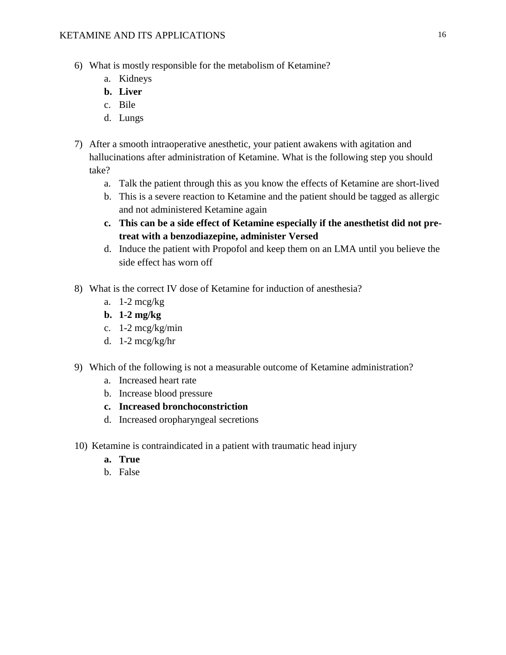- 6) What is mostly responsible for the metabolism of Ketamine?
	- a. Kidneys
	- **b. Liver**
	- c. Bile
	- d. Lungs
- 7) After a smooth intraoperative anesthetic, your patient awakens with agitation and hallucinations after administration of Ketamine. What is the following step you should take?
	- a. Talk the patient through this as you know the effects of Ketamine are short-lived
	- b. This is a severe reaction to Ketamine and the patient should be tagged as allergic and not administered Ketamine again
	- **c. This can be a side effect of Ketamine especially if the anesthetist did not pretreat with a benzodiazepine, administer Versed**
	- d. Induce the patient with Propofol and keep them on an LMA until you believe the side effect has worn off
- 8) What is the correct IV dose of Ketamine for induction of anesthesia?
	- a. 1-2 mcg/kg
	- **b. 1-2 mg/kg**
	- c. 1-2 mcg/kg/min
	- d. 1-2 mcg/kg/hr
- 9) Which of the following is not a measurable outcome of Ketamine administration?
	- a. Increased heart rate
	- b. Increase blood pressure
	- **c. Increased bronchoconstriction**
	- d. Increased oropharyngeal secretions
- 10) Ketamine is contraindicated in a patient with traumatic head injury
	- **a. True**
	- b. False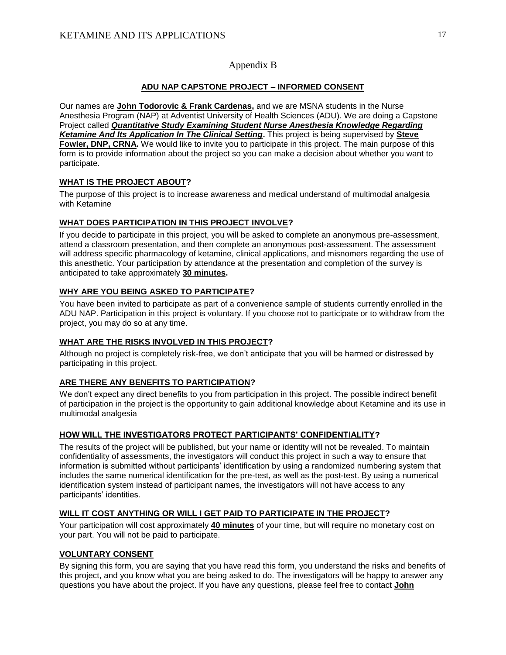# Appendix B

## **ADU NAP CAPSTONE PROJECT – INFORMED CONSENT**

Our names are **John Todorovic & Frank Cardenas,** and we are MSNA students in the Nurse Anesthesia Program (NAP) at Adventist University of Health Sciences (ADU). We are doing a Capstone Project called *Quantitative Study Examining Student Nurse Anesthesia Knowledge Regarding Ketamine And Its Application In The Clinical Setting***.** This project is being supervised by **Steve Fowler, DNP, CRNA.** We would like to invite you to participate in this project. The main purpose of this form is to provide information about the project so you can make a decision about whether you want to participate.

## **WHAT IS THE PROJECT ABOUT?**

The purpose of this project is to increase awareness and medical understand of multimodal analgesia with Ketamine

## **WHAT DOES PARTICIPATION IN THIS PROJECT INVOLVE?**

If you decide to participate in this project, you will be asked to complete an anonymous pre-assessment, attend a classroom presentation, and then complete an anonymous post-assessment. The assessment will address specific pharmacology of ketamine, clinical applications, and misnomers regarding the use of this anesthetic. Your participation by attendance at the presentation and completion of the survey is anticipated to take approximately **30 minutes.**

## **WHY ARE YOU BEING ASKED TO PARTICIPATE?**

You have been invited to participate as part of a convenience sample of students currently enrolled in the ADU NAP. Participation in this project is voluntary. If you choose not to participate or to withdraw from the project, you may do so at any time.

## **WHAT ARE THE RISKS INVOLVED IN THIS PROJECT?**

Although no project is completely risk-free, we don't anticipate that you will be harmed or distressed by participating in this project.

## **ARE THERE ANY BENEFITS TO PARTICIPATION?**

We don't expect any direct benefits to you from participation in this project. The possible indirect benefit of participation in the project is the opportunity to gain additional knowledge about Ketamine and its use in multimodal analgesia

## **HOW WILL THE INVESTIGATORS PROTECT PARTICIPANTS' CONFIDENTIALITY?**

The results of the project will be published, but your name or identity will not be revealed. To maintain confidentiality of assessments, the investigators will conduct this project in such a way to ensure that information is submitted without participants' identification by using a randomized numbering system that includes the same numerical identification for the pre-test, as well as the post-test. By using a numerical identification system instead of participant names, the investigators will not have access to any participants' identities.

## **WILL IT COST ANYTHING OR WILL I GET PAID TO PARTICIPATE IN THE PROJECT?**

Your participation will cost approximately **40 minutes** of your time, but will require no monetary cost on your part. You will not be paid to participate.

## **VOLUNTARY CONSENT**

By signing this form, you are saying that you have read this form, you understand the risks and benefits of this project, and you know what you are being asked to do. The investigators will be happy to answer any questions you have about the project. If you have any questions, please feel free to contact **John**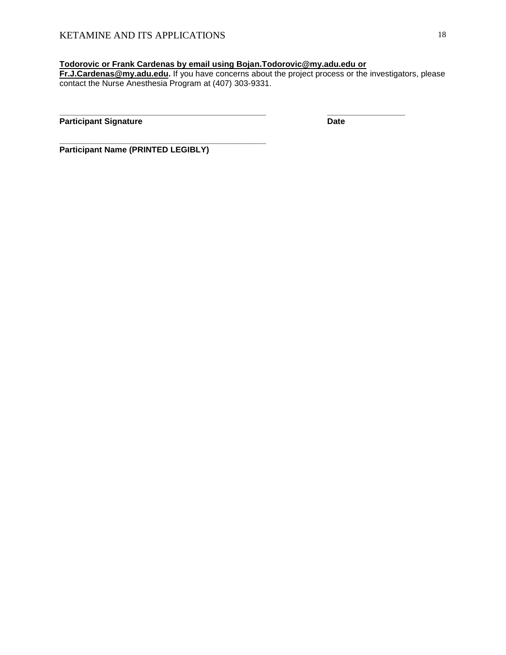# **Todorovic or Frank Cardenas by email using Bojan.Todorovic@my.adu.edu or**

**Fr.J.Cardenas@my.adu.edu.** If you have concerns about the project process or the investigators, please contact the Nurse Anesthesia Program at (407) 303-9331.

**\_\_\_\_\_\_\_\_\_\_\_\_\_\_\_\_\_\_\_\_\_\_\_\_\_\_\_\_\_\_\_\_\_\_\_\_\_\_\_\_\_\_\_\_\_ \_\_\_\_\_\_\_\_\_\_\_\_\_\_\_\_\_ Participant Signature Date** 

**Participant Name (PRINTED LEGIBLY)**

**\_\_\_\_\_\_\_\_\_\_\_\_\_\_\_\_\_\_\_\_\_\_\_\_\_\_\_\_\_\_\_\_\_\_\_\_\_\_\_\_\_\_\_\_\_**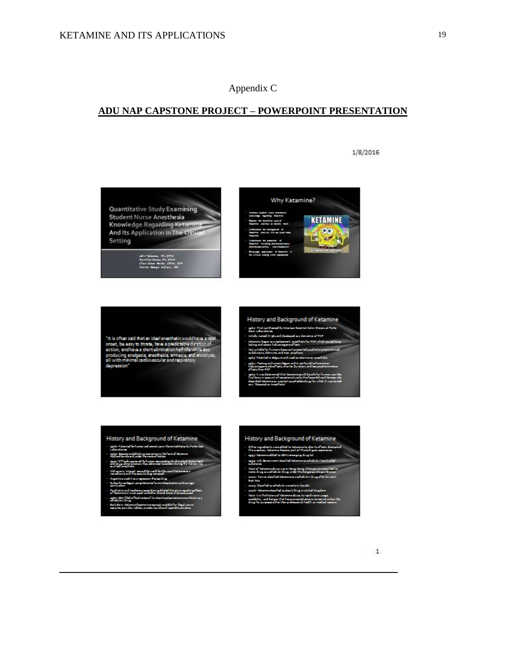## Appendix C

## **ADU NAP CAPSTONE PROJECT – POWERPOINT PRESENTATION**

#### 1/8/2016



Why Ketamine? and<br>And And ignori d'<br>Internazional mass

KETAMINE **LOO**  $L_1 = 1$ **CONTRACTOR** 

"It is often said that an ideal anisthetic would have a rabb onset, be easy to titute, have a predictable duration of<br>action, and have a short elimination half-life while also<br>producing analyses, anesthesis, armssis, and asviolyse,<br>all with minimal cardiovascular and respiratory depression"

#### History and Background of Ketamine

- ag Carl Pinci age Chastail Dy Ameri<br>Carlo La Caracteria .<br>An Islandial Calvin Illa .<br>Hidy named to give and developed as a discretion of PCP
- in Color and Critical Centers of an European of The<br>Letters begin a real means of the Critical Center<br>Letters and mean halves again of the Color Centers and the color<br>In Color and Colores and an application of the Colores
- 
- ugity Palantal in Bagiano and used as editorion an activitie<br>ugity Palang and used a bagan and it was found to have a<br>Palantagens also fissing shorter duration, and has page an<br>affects than PCP
- .<br>2016 Administration Charles County Professional Charles (Charles Charles Charles Charles Charles Charles Ch<br>2016 Administration Charles Charles Charles Charles Charles Charles Charles Charles Charles Charles Charles<br> 253

#### History and Background of Ketamine

- upper-Malendah fertimen and annual control the Lindsabades and y Marine Can
- stige Bearing and Alais, growing together the form of this minus.<br>Stige with and with the common field of
- agen Officials apparent for human accountable by the United States Paul.<br>And Drug Africanism Max Alexander Countiers for ag TV Mateur 1961.<br>And Africanism Mateur
- .<br>Mil agente internit američki premič kotikovanski tak.<br>menačarni arif i korana (mitra) premanal.
- ad it is a regiment the application<br>began saing italians of a resulting
- Pychiatra and Audiens, may does guidaded the does not regular affects<br>In Education in the pychiatra district data of annotazing
- ger santilat atlasina<br>Saturni drug Small Cabile
- .<br>Gilamina Dasama inanasing hijasalabla fan illegal warne.<br>In Can, tablate, anjetak, legwithan di injetabla va lutlane.
- History and Background of Ketamine Other ingredients were added to Katerine to she is affects. See<br>This is easing: Katerine Deseror part of the slub gave separance added to CIA's everying drug let **MALL OF Constitution**  $22123$
- Which of the contract decreases the property of the property of the field  $\mathcal{C}_0$  , and the property of the property of the contract of the contract of the contract of the contract of the contract of the contract of the
- 
- 
- 

taan het<br>saarg: Claudhad as uitvalled in normalisten Constitu<br>saard: "Gelamina daadhad as ulaas C dinay in Lindad Kingdom<br>Nada Califo, and dianger Challens as doors dat as in normalisten<br>dinay fare program adhas than profe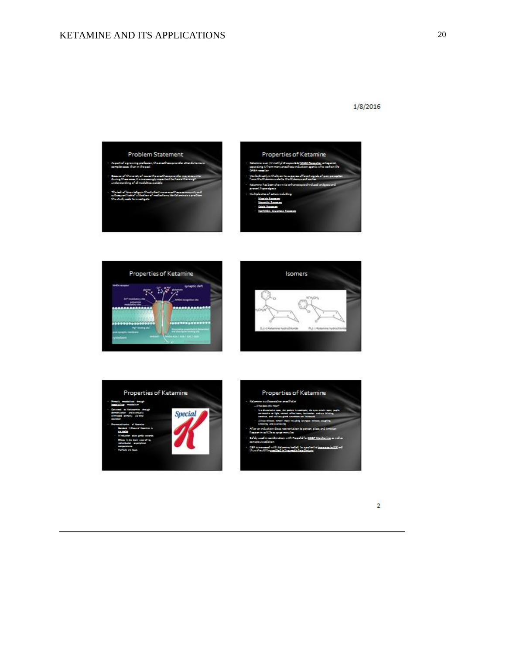

| Properties of Ketamine                                                                                                                                                    |
|---------------------------------------------------------------------------------------------------------------------------------------------------------------------------|
| - Kalentna is an Uirmail of Creages (a big 1992). Research: an ingenial,<br>upperating it from many anatificate industrien agents who contain the<br><b>GABA resputer</b> |
| . Vients Chrecky in the Cruin to suppress of level agrees of purposes the<br>from the thelenis number to the thelenius and series.                                        |
| - Katamina has been sharen to enhance again the duest analysis and<br>present hoperagents                                                                                 |
| - Multiplanitas of action including<br>- Non-lote Recognized<br>- Morratele Rayman<br>· Rent Lowers<br>- Hardfield Council Recogni                                        |









CBP is interested with Columbia leaded to a police<br>themselved by <u>previously in the model has divisi</u>ng

#### $\overline{2}$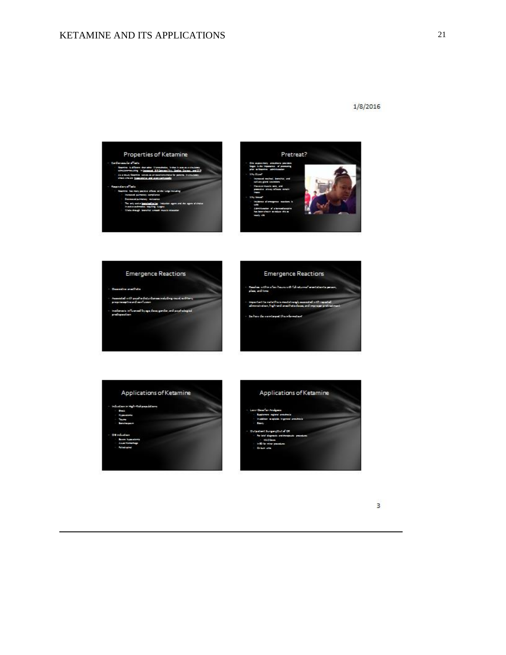







| ann-Casafan Analyssis<br>- Lastenen regional antichesis<br>- In addition to splatia, in general annulroche |  |
|------------------------------------------------------------------------------------------------------------|--|
|                                                                                                            |  |
|                                                                                                            |  |
|                                                                                                            |  |
| - Edely                                                                                                    |  |
| Evisaberi Iurgen/Evi al Ot                                                                                 |  |
| - For later shapmanic and durantially presidents                                                           |  |
| - MLCGam                                                                                                   |  |
| to the D for when presidents                                                                               |  |
| - Critics units                                                                                            |  |

 $\overline{\mathbf{3}}$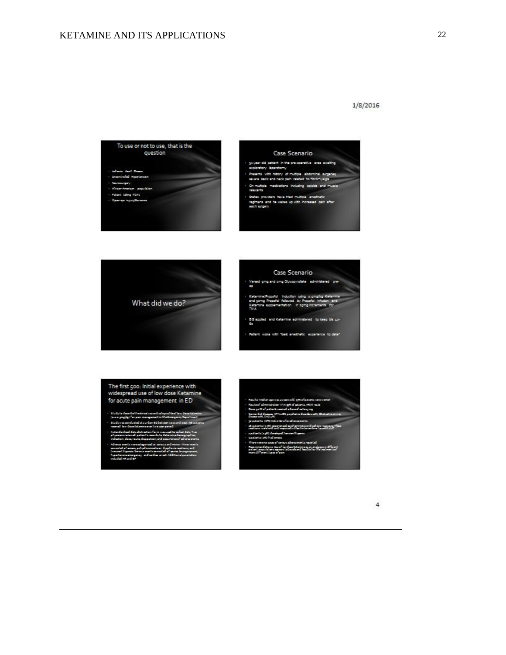

#### Case Scenario

- gs year old patient in the pre-operative, area availing.<br>exploratory, lapsrotorny .<br>Presents, with history, of multiple, abdominal, surgeries,<br>severe back and neck pain related, to fibromysigs. medications including as
- nisoarta<br>Sabes providers have tried multiple amedinatic<br>nigimens and he valoes up with increased pain after<br>each surgery



#### Case Scenario

- Versed ging and sing Glycopyrollate adm
- n using a.gm<br>I by Propofol<br>In agmg inch m
- 96 iy led and Kelamine administered, to keep bis 40-



# The first 500: Initial experience with<br>widespread use of low dose Ketamine for acute pain management in ED

- **The Contract** id da **San Bibliot** i data dodrada<br>med patemtis in farm mai usad tahun<br>martin ta datamana di d a se والبداد anana.<br>Matuki w 73
- 73 **SOFTWARE** d and annual self-plan material w e l'antica personalità del contenut.<br>La contenuta del castello del contenuto del